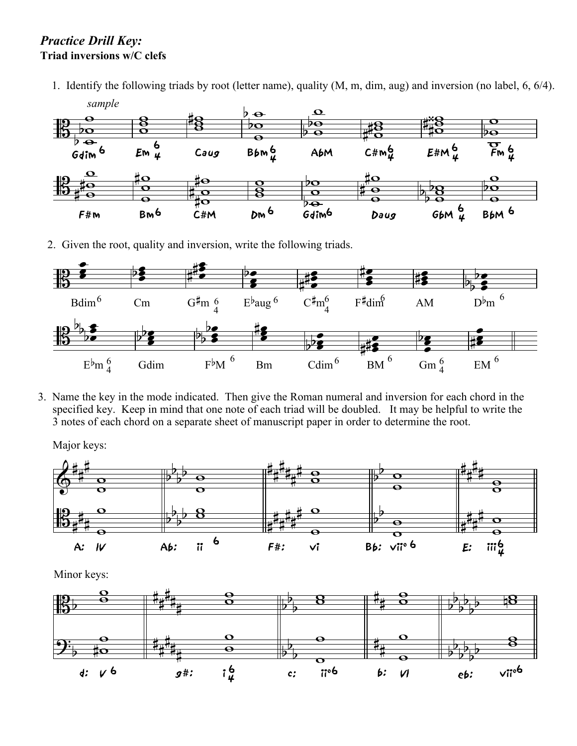## *Practice Drill Key:* **Triad inversions w/C clefs**

1. Identify the following triads by root (letter name), quality (M, m, dim, aug) and inversion (no label, 6, 6/4). *sample*



2. Given the root, quality and inversion, write the following triads.



3. Name the key in the mode indicated. Then give the Roman numeral and inversion for each chord in the specified key. Keep in mind that one note of each triad will be doubled. It may be helpful to write the 3 notes of each chord on a separate sheet of manuscript paper in order to determine the root.

Major keys:



Minor keys: